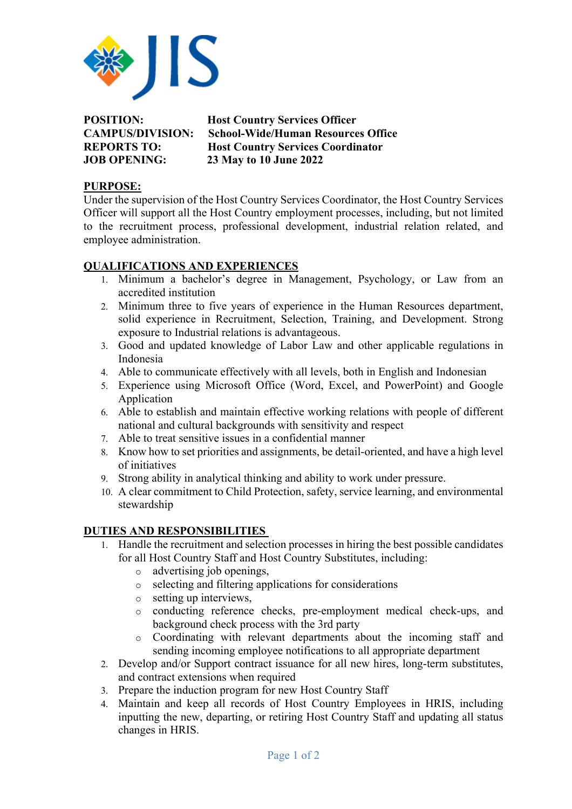

| <b>POSITION:</b>        | <b>Host Country Services Officer</b>      |
|-------------------------|-------------------------------------------|
| <b>CAMPUS/DIVISION:</b> | <b>School-Wide/Human Resources Office</b> |
| <b>REPORTS TO:</b>      | <b>Host Country Services Coordinator</b>  |
| <b>JOB OPENING:</b>     | 23 May to 10 June 2022                    |

## **PURPOSE:**

Under the supervision of the Host Country Services Coordinator, the Host Country Services Officer will support all the Host Country employment processes, including, but not limited to the recruitment process, professional development, industrial relation related, and employee administration.

## **QUALIFICATIONS AND EXPERIENCES**

- 1. Minimum a bachelor's degree in Management, Psychology, or Law from an accredited institution
- 2. Minimum three to five years of experience in the Human Resources department, solid experience in Recruitment, Selection, Training, and Development. Strong exposure to Industrial relations is advantageous.
- 3. Good and updated knowledge of Labor Law and other applicable regulations in Indonesia
- 4. Able to communicate effectively with all levels, both in English and Indonesian
- 5. Experience using Microsoft Office (Word, Excel, and PowerPoint) and Google Application
- 6. Able to establish and maintain effective working relations with people of different national and cultural backgrounds with sensitivity and respect
- 7. Able to treat sensitive issues in a confidential manner
- 8. Know how to set priorities and assignments, be detail-oriented, and have a high level of initiatives
- 9. Strong ability in analytical thinking and ability to work under pressure.
- 10. A clear commitment to Child Protection, safety, service learning, and environmental stewardship

## **DUTIES AND RESPONSIBILITIES**

- 1. Handle the recruitment and selection processes in hiring the best possible candidates for all Host Country Staff and Host Country Substitutes, including:
	- o advertising job openings,
	- o selecting and filtering applications for considerations
	- o setting up interviews,
	- o conducting reference checks, pre-employment medical check-ups, and background check process with the 3rd party
	- o Coordinating with relevant departments about the incoming staff and sending incoming employee notifications to all appropriate department
- 2. Develop and/or Support contract issuance for all new hires, long-term substitutes, and contract extensions when required
- 3. Prepare the induction program for new Host Country Staff
- 4. Maintain and keep all records of Host Country Employees in HRIS, including inputting the new, departing, or retiring Host Country Staff and updating all status changes in HRIS.